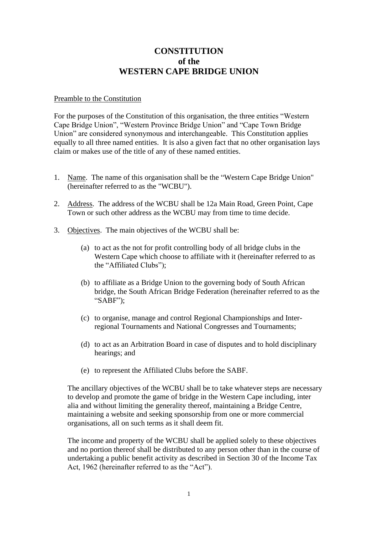## **CONSTITUTION of the WESTERN CAPE BRIDGE UNION**

## Preamble to the Constitution

For the purposes of the Constitution of this organisation, the three entities "Western Cape Bridge Union", "Western Province Bridge Union" and "Cape Town Bridge Union" are considered synonymous and interchangeable. This Constitution applies equally to all three named entities. It is also a given fact that no other organisation lays claim or makes use of the title of any of these named entities.

- 1. Name. The name of this organisation shall be the "Western Cape Bridge Union" (hereinafter referred to as the "WCBU").
- 2. Address. The address of the WCBU shall be 12a Main Road, Green Point, Cape Town or such other address as the WCBU may from time to time decide.
- 3. Objectives. The main objectives of the WCBU shall be:
	- (a) to act as the not for profit controlling body of all bridge clubs in the Western Cape which choose to affiliate with it (hereinafter referred to as the "Affiliated Clubs");
	- (b) to affiliate as a Bridge Union to the governing body of South African bridge, the South African Bridge Federation (hereinafter referred to as the "SABF");
	- (c) to organise, manage and control Regional Championships and Interregional Tournaments and National Congresses and Tournaments;
	- (d) to act as an Arbitration Board in case of disputes and to hold disciplinary hearings; and
	- (e) to represent the Affiliated Clubs before the SABF.

The ancillary objectives of the WCBU shall be to take whatever steps are necessary to develop and promote the game of bridge in the Western Cape including, inter alia and without limiting the generality thereof, maintaining a Bridge Centre, maintaining a website and seeking sponsorship from one or more commercial organisations, all on such terms as it shall deem fit.

The income and property of the WCBU shall be applied solely to these objectives and no portion thereof shall be distributed to any person other than in the course of undertaking a public benefit activity as described in Section 30 of the Income Tax Act, 1962 (hereinafter referred to as the "Act").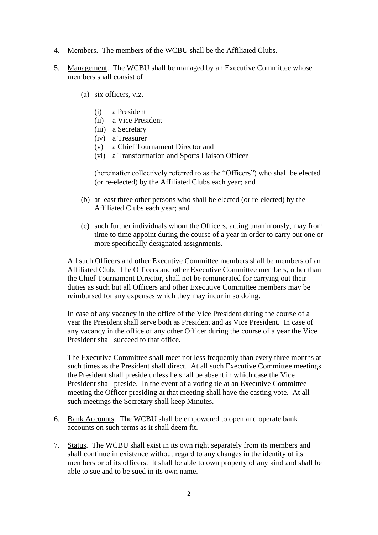- 4. Members. The members of the WCBU shall be the Affiliated Clubs.
- 5. Management. The WCBU shall be managed by an Executive Committee whose members shall consist of
	- (a) six officers, viz.
		- (i) a President
		- (ii) a Vice President
		- (iii) a Secretary
		- (iv) a Treasurer
		- (v) a Chief Tournament Director and
		- (vi) a Transformation and Sports Liaison Officer

(hereinafter collectively referred to as the "Officers") who shall be elected (or re-elected) by the Affiliated Clubs each year; and

- (b) at least three other persons who shall be elected (or re-elected) by the Affiliated Clubs each year; and
- (c) such further individuals whom the Officers, acting unanimously, may from time to time appoint during the course of a year in order to carry out one or more specifically designated assignments.

All such Officers and other Executive Committee members shall be members of an Affiliated Club. The Officers and other Executive Committee members, other than the Chief Tournament Director, shall not be remunerated for carrying out their duties as such but all Officers and other Executive Committee members may be reimbursed for any expenses which they may incur in so doing.

In case of any vacancy in the office of the Vice President during the course of a year the President shall serve both as President and as Vice President. In case of any vacancy in the office of any other Officer during the course of a year the Vice President shall succeed to that office.

The Executive Committee shall meet not less frequently than every three months at such times as the President shall direct. At all such Executive Committee meetings the President shall preside unless he shall be absent in which case the Vice President shall preside. In the event of a voting tie at an Executive Committee meeting the Officer presiding at that meeting shall have the casting vote. At all such meetings the Secretary shall keep Minutes.

- 6. Bank Accounts. The WCBU shall be empowered to open and operate bank accounts on such terms as it shall deem fit.
- 7. Status. The WCBU shall exist in its own right separately from its members and shall continue in existence without regard to any changes in the identity of its members or of its officers. It shall be able to own property of any kind and shall be able to sue and to be sued in its own name.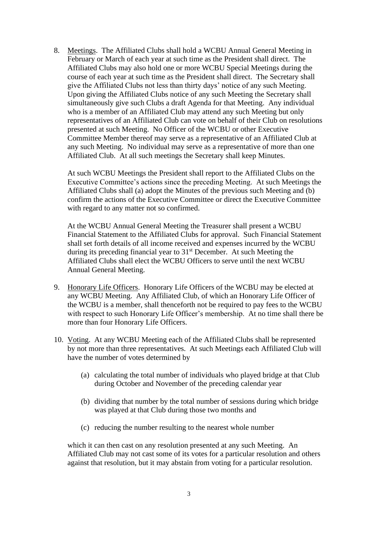8. Meetings. The Affiliated Clubs shall hold a WCBU Annual General Meeting in February or March of each year at such time as the President shall direct. The Affiliated Clubs may also hold one or more WCBU Special Meetings during the course of each year at such time as the President shall direct. The Secretary shall give the Affiliated Clubs not less than thirty days' notice of any such Meeting. Upon giving the Affiliated Clubs notice of any such Meeting the Secretary shall simultaneously give such Clubs a draft Agenda for that Meeting. Any individual who is a member of an Affiliated Club may attend any such Meeting but only representatives of an Affiliated Club can vote on behalf of their Club on resolutions presented at such Meeting. No Officer of the WCBU or other Executive Committee Member thereof may serve as a representative of an Affiliated Club at any such Meeting. No individual may serve as a representative of more than one Affiliated Club. At all such meetings the Secretary shall keep Minutes.

At such WCBU Meetings the President shall report to the Affiliated Clubs on the Executive Committee's actions since the preceding Meeting. At such Meetings the Affiliated Clubs shall (a) adopt the Minutes of the previous such Meeting and (b) confirm the actions of the Executive Committee or direct the Executive Committee with regard to any matter not so confirmed.

At the WCBU Annual General Meeting the Treasurer shall present a WCBU Financial Statement to the Affiliated Clubs for approval. Such Financial Statement shall set forth details of all income received and expenses incurred by the WCBU during its preceding financial year to  $31<sup>st</sup>$  December. At such Meeting the Affiliated Clubs shall elect the WCBU Officers to serve until the next WCBU Annual General Meeting.

- 9. Honorary Life Officers. Honorary Life Officers of the WCBU may be elected at any WCBU Meeting. Any Affiliated Club, of which an Honorary Life Officer of the WCBU is a member, shall thenceforth not be required to pay fees to the WCBU with respect to such Honorary Life Officer's membership. At no time shall there be more than four Honorary Life Officers.
- 10. Voting. At any WCBU Meeting each of the Affiliated Clubs shall be represented by not more than three representatives. At such Meetings each Affiliated Club will have the number of votes determined by
	- (a) calculating the total number of individuals who played bridge at that Club during October and November of the preceding calendar year
	- (b) dividing that number by the total number of sessions during which bridge was played at that Club during those two months and
	- (c) reducing the number resulting to the nearest whole number

which it can then cast on any resolution presented at any such Meeting. An Affiliated Club may not cast some of its votes for a particular resolution and others against that resolution, but it may abstain from voting for a particular resolution.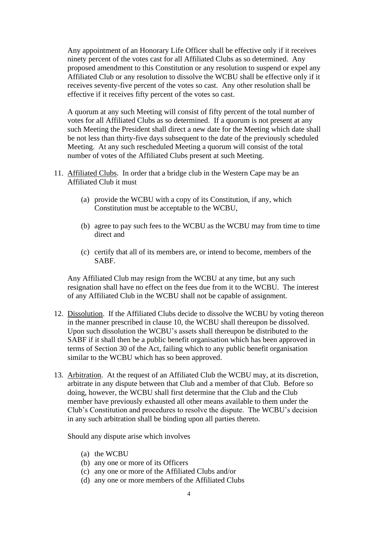Any appointment of an Honorary Life Officer shall be effective only if it receives ninety percent of the votes cast for all Affiliated Clubs as so determined. Any proposed amendment to this Constitution or any resolution to suspend or expel any Affiliated Club or any resolution to dissolve the WCBU shall be effective only if it receives seventy-five percent of the votes so cast. Any other resolution shall be effective if it receives fifty percent of the votes so cast.

A quorum at any such Meeting will consist of fifty percent of the total number of votes for all Affiliated Clubs as so determined. If a quorum is not present at any such Meeting the President shall direct a new date for the Meeting which date shall be not less than thirty-five days subsequent to the date of the previously scheduled Meeting. At any such rescheduled Meeting a quorum will consist of the total number of votes of the Affiliated Clubs present at such Meeting.

- 11. Affiliated Clubs. In order that a bridge club in the Western Cape may be an Affiliated Club it must
	- (a) provide the WCBU with a copy of its Constitution, if any, which Constitution must be acceptable to the WCBU,
	- (b) agree to pay such fees to the WCBU as the WCBU may from time to time direct and
	- (c) certify that all of its members are, or intend to become, members of the SABF.

Any Affiliated Club may resign from the WCBU at any time, but any such resignation shall have no effect on the fees due from it to the WCBU. The interest of any Affiliated Club in the WCBU shall not be capable of assignment.

- 12. Dissolution. If the Affiliated Clubs decide to dissolve the WCBU by voting thereon in the manner prescribed in clause 10, the WCBU shall thereupon be dissolved. Upon such dissolution the WCBU's assets shall thereupon be distributed to the SABF if it shall then be a public benefit organisation which has been approved in terms of Section 30 of the Act, failing which to any public benefit organisation similar to the WCBU which has so been approved.
- 13. Arbitration. At the request of an Affiliated Club the WCBU may, at its discretion, arbitrate in any dispute between that Club and a member of that Club. Before so doing, however, the WCBU shall first determine that the Club and the Club member have previously exhausted all other means available to them under the Club's Constitution and procedures to resolve the dispute. The WCBU's decision in any such arbitration shall be binding upon all parties thereto.

Should any dispute arise which involves

- (a) the WCBU
- (b) any one or more of its Officers
- (c) any one or more of the Affiliated Clubs and/or
- (d) any one or more members of the Affiliated Clubs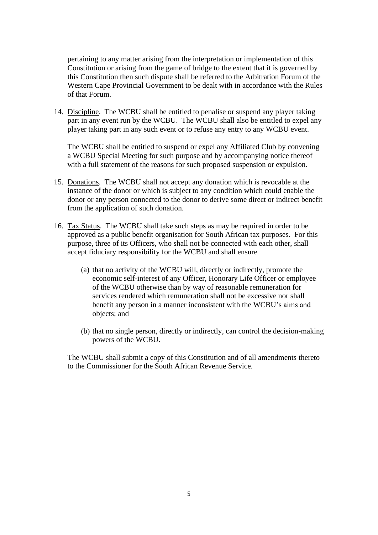pertaining to any matter arising from the interpretation or implementation of this Constitution or arising from the game of bridge to the extent that it is governed by this Constitution then such dispute shall be referred to the Arbitration Forum of the Western Cape Provincial Government to be dealt with in accordance with the Rules of that Forum.

14. Discipline. The WCBU shall be entitled to penalise or suspend any player taking part in any event run by the WCBU. The WCBU shall also be entitled to expel any player taking part in any such event or to refuse any entry to any WCBU event.

The WCBU shall be entitled to suspend or expel any Affiliated Club by convening a WCBU Special Meeting for such purpose and by accompanying notice thereof with a full statement of the reasons for such proposed suspension or expulsion.

- 15. Donations. The WCBU shall not accept any donation which is revocable at the instance of the donor or which is subject to any condition which could enable the donor or any person connected to the donor to derive some direct or indirect benefit from the application of such donation.
- 16. Tax Status. The WCBU shall take such steps as may be required in order to be approved as a public benefit organisation for South African tax purposes. For this purpose, three of its Officers, who shall not be connected with each other, shall accept fiduciary responsibility for the WCBU and shall ensure
	- (a) that no activity of the WCBU will, directly or indirectly, promote the economic self-interest of any Officer, Honorary Life Officer or employee of the WCBU otherwise than by way of reasonable remuneration for services rendered which remuneration shall not be excessive nor shall benefit any person in a manner inconsistent with the WCBU's aims and objects; and
	- (b) that no single person, directly or indirectly, can control the decision-making powers of the WCBU.

The WCBU shall submit a copy of this Constitution and of all amendments thereto to the Commissioner for the South African Revenue Service.